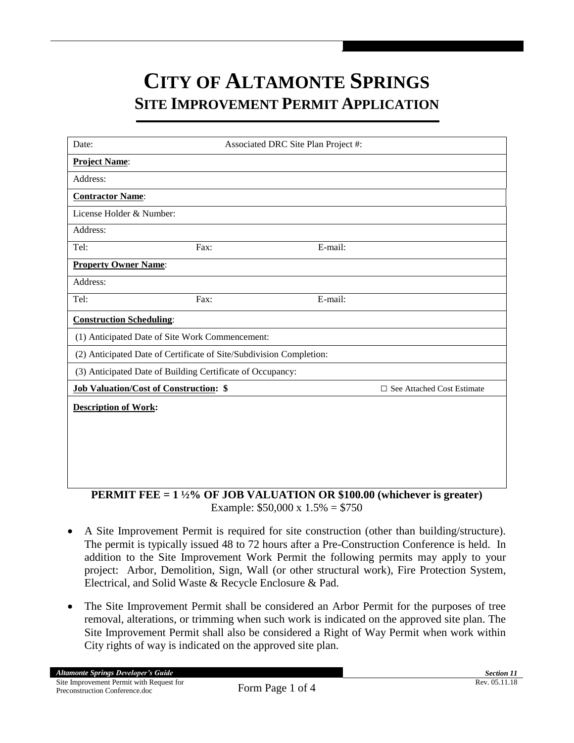## **CITY OF ALTAMONTE SPRINGS SITE IMPROVEMENT PERMIT APPLICATION**

| Date:                                                               |      | Associated DRC Site Plan Project #: |                              |  |
|---------------------------------------------------------------------|------|-------------------------------------|------------------------------|--|
| <b>Project Name:</b>                                                |      |                                     |                              |  |
| Address:                                                            |      |                                     |                              |  |
| <b>Contractor Name:</b>                                             |      |                                     |                              |  |
| License Holder & Number:                                            |      |                                     |                              |  |
| Address:                                                            |      |                                     |                              |  |
| Tel:                                                                | Fax: | E-mail:                             |                              |  |
| <b>Property Owner Name:</b>                                         |      |                                     |                              |  |
| Address:                                                            |      |                                     |                              |  |
| Tel:                                                                | Fax: | E-mail:                             |                              |  |
| <b>Construction Scheduling:</b>                                     |      |                                     |                              |  |
| (1) Anticipated Date of Site Work Commencement:                     |      |                                     |                              |  |
| (2) Anticipated Date of Certificate of Site/Subdivision Completion: |      |                                     |                              |  |
| (3) Anticipated Date of Building Certificate of Occupancy:          |      |                                     |                              |  |
| <b>Job Valuation/Cost of Construction: \$</b>                       |      |                                     | □ See Attached Cost Estimate |  |
| <b>Description of Work:</b>                                         |      |                                     |                              |  |
|                                                                     |      |                                     |                              |  |
|                                                                     |      |                                     |                              |  |
|                                                                     |      |                                     |                              |  |
|                                                                     |      |                                     |                              |  |

**PERMIT FEE = 1 ½% OF JOB VALUATION OR \$100.00 (whichever is greater)** Example: \$50,000 x 1.5% = \$750

- A Site Improvement Permit is required for site construction (other than building/structure). The permit is typically issued 48 to 72 hours after a Pre-Construction Conference is held. In addition to the Site Improvement Work Permit the following permits may apply to your project: Arbor, Demolition, Sign, Wall (or other structural work), Fire Protection System, Electrical, and Solid Waste & Recycle Enclosure & Pad.
- The Site Improvement Permit shall be considered an Arbor Permit for the purposes of tree removal, alterations, or trimming when such work is indicated on the approved site plan. The Site Improvement Permit shall also be considered a Right of Way Permit when work within City rights of way is indicated on the approved site plan.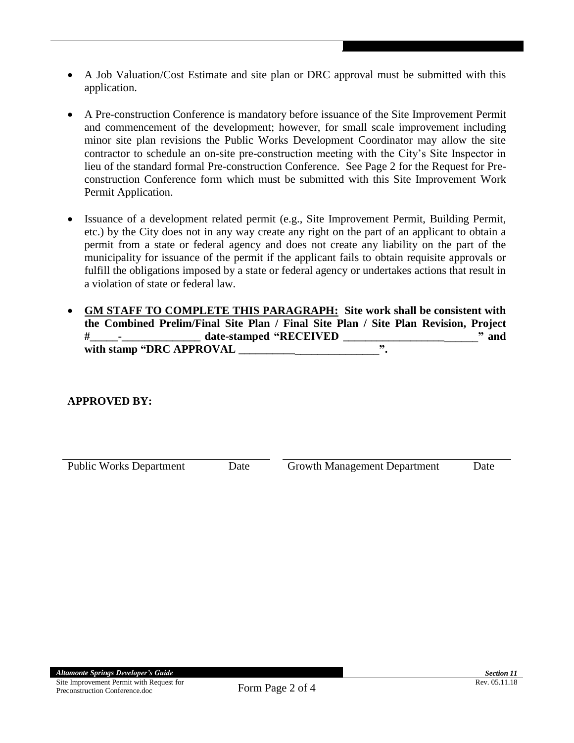- A Job Valuation/Cost Estimate and site plan or DRC approval must be submitted with this application.
- A Pre-construction Conference is mandatory before issuance of the Site Improvement Permit and commencement of the development; however, for small scale improvement including minor site plan revisions the Public Works Development Coordinator may allow the site contractor to schedule an on-site pre-construction meeting with the City's Site Inspector in lieu of the standard formal Pre-construction Conference. See Page 2 for the Request for Preconstruction Conference form which must be submitted with this Site Improvement Work Permit Application.
- Issuance of a development related permit (e.g., Site Improvement Permit, Building Permit, etc.) by the City does not in any way create any right on the part of an applicant to obtain a permit from a state or federal agency and does not create any liability on the part of the municipality for issuance of the permit if the applicant fails to obtain requisite approvals or fulfill the obligations imposed by a state or federal agency or undertakes actions that result in a violation of state or federal law.
- **GM STAFF TO COMPLETE THIS PARAGRAPH: Site work shall be consistent with the Combined Prelim/Final Site Plan / Final Site Plan / Site Plan Revision, Project #\_\_\_\_\_-\_\_\_\_\_\_\_\_\_\_\_\_\_\_ date-stamped "RECEIVED \_\_\_\_\_\_\_\_\_\_\_\_\_\_\_\_\_\_\_\_\_\_\_\_" and with stamp "DRC APPROVAL \_\_\_\_\_\_\_\_\_\_\_\_\_\_\_\_\_\_\_\_\_\_\_\_\_".**

## **APPROVED BY:**

Public Works Department Date Growth Management Department Date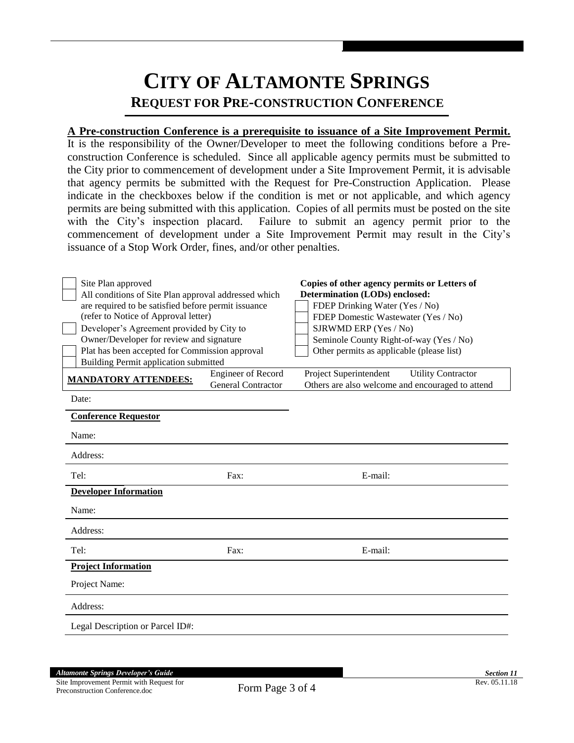## **CITY OF ALTAMONTE SPRINGS REQUEST FOR PRE-CONSTRUCTION CONFERENCE**

## **A Pre-construction Conference is a prerequisite to issuance of a Site Improvement Permit.**

It is the responsibility of the Owner/Developer to meet the following conditions before a Preconstruction Conference is scheduled. Since all applicable agency permits must be submitted to the City prior to commencement of development under a Site Improvement Permit, it is advisable that agency permits be submitted with the Request for Pre-Construction Application. Please indicate in the checkboxes below if the condition is met or not applicable, and which agency permits are being submitted with this application. Copies of all permits must be posted on the site with the City's inspection placard. Failure to submit an agency permit prior to the commencement of development under a Site Improvement Permit may result in the City's issuance of a Stop Work Order, fines, and/or other penalties.

| Site Plan approved<br>All conditions of Site Plan approval addressed which<br>are required to be satisfied before permit issuance<br>(refer to Notice of Approval letter)<br>Developer's Agreement provided by City to<br>Owner/Developer for review and signature<br>Plat has been accepted for Commission approval<br>Building Permit application submitted |                                                        | Copies of other agency permits or Letters of<br>Determination (LODs) enclosed:<br>FDEP Drinking Water (Yes / No)<br>FDEP Domestic Wastewater (Yes / No)<br>SJRWMD ERP (Yes / No)<br>Seminole County Right-of-way (Yes / No)<br>Other permits as applicable (please list) |  |
|---------------------------------------------------------------------------------------------------------------------------------------------------------------------------------------------------------------------------------------------------------------------------------------------------------------------------------------------------------------|--------------------------------------------------------|--------------------------------------------------------------------------------------------------------------------------------------------------------------------------------------------------------------------------------------------------------------------------|--|
| <b>MANDATORY ATTENDEES:</b>                                                                                                                                                                                                                                                                                                                                   | <b>Engineer of Record</b><br><b>General Contractor</b> | Project Superintendent<br><b>Utility Contractor</b><br>Others are also welcome and encouraged to attend                                                                                                                                                                  |  |
| Date:                                                                                                                                                                                                                                                                                                                                                         |                                                        |                                                                                                                                                                                                                                                                          |  |
| <b>Conference Requestor</b>                                                                                                                                                                                                                                                                                                                                   |                                                        |                                                                                                                                                                                                                                                                          |  |
| Name:                                                                                                                                                                                                                                                                                                                                                         |                                                        |                                                                                                                                                                                                                                                                          |  |
| Address:                                                                                                                                                                                                                                                                                                                                                      |                                                        |                                                                                                                                                                                                                                                                          |  |
| Tel:                                                                                                                                                                                                                                                                                                                                                          | Fax:                                                   | E-mail:                                                                                                                                                                                                                                                                  |  |
| <b>Developer Information</b>                                                                                                                                                                                                                                                                                                                                  |                                                        |                                                                                                                                                                                                                                                                          |  |
| Name:                                                                                                                                                                                                                                                                                                                                                         |                                                        |                                                                                                                                                                                                                                                                          |  |
| Address:                                                                                                                                                                                                                                                                                                                                                      |                                                        |                                                                                                                                                                                                                                                                          |  |
| Tel:                                                                                                                                                                                                                                                                                                                                                          | Fax:                                                   | E-mail:                                                                                                                                                                                                                                                                  |  |
| <b>Project Information</b>                                                                                                                                                                                                                                                                                                                                    |                                                        |                                                                                                                                                                                                                                                                          |  |
| Project Name:                                                                                                                                                                                                                                                                                                                                                 |                                                        |                                                                                                                                                                                                                                                                          |  |
| Address:                                                                                                                                                                                                                                                                                                                                                      |                                                        |                                                                                                                                                                                                                                                                          |  |
| Legal Description or Parcel ID#:                                                                                                                                                                                                                                                                                                                              |                                                        |                                                                                                                                                                                                                                                                          |  |